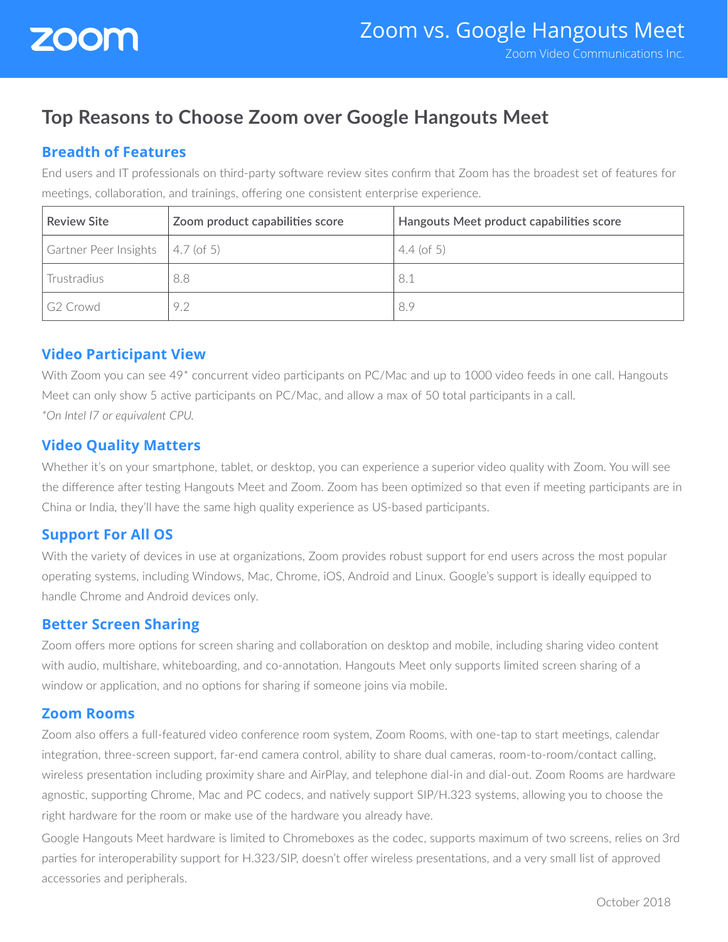

# **Top Reasons to Choose Zoom over Google Hangouts Meet**

# **Breadth of Features**

End users and IT professionals on third-party software review sites confirm that Zoom has the broadest set of features for meetings, collaboration, and trainings, offering one consistent enterprise experience.

| <b>Review Site</b>                                   | Zoom product capabilities score | Hangouts Meet product capabilities score |
|------------------------------------------------------|---------------------------------|------------------------------------------|
| $\sqrt{6}$ Gartner Peer Insights $\sqrt{4.7}$ (of 5) |                                 | $4.4$ (of 5)                             |
| Trustradius                                          | 8.8                             | 8.1                                      |
| I G2 Crowd                                           | 9.2                             | 8.9                                      |

## **Video Participant View**

With Zoom you can see 49<sup>\*</sup> concurrent video participants on PC/Mac and up to 1000 video feeds in one call. Hangouts Meet can only show 5 active participants on PC/Mac, and allow a max of 50 total participants in a call. *\*On Intel I7 or equivalent CPU.*

## **Video Quality Matters**

Whether it's on your smartphone, tablet, or desktop, you can experience a superior video quality with Zoom. You will see the difference after testing Hangouts Meet and Zoom. Zoom has been optimized so that even if meeting participants are in China or India, they'll have the same high quality experience as US-based participants.

## **Support For All OS**

With the variety of devices in use at organizations, Zoom provides robust support for end users across the most popular operating systems, including Windows, Mac, Chrome, iOS, Android and Linux. Google's support is ideally equipped to handle Chrome and Android devices only.

#### **Better Screen Sharing**

Zoom offers more options for screen sharing and collaboration on desktop and mobile, including sharing video content with audio, multishare, whiteboarding, and co-annotation. Hangouts Meet only supports limited screen sharing of a window or application, and no options for sharing if someone joins via mobile.

#### **Zoom Rooms**

Zoom also offers a full-featured video conference room system, Zoom Rooms, with one-tap to start meetings, calendar integration, three-screen support, far-end camera control, ability to share dual cameras, room-to-room/contact calling, wireless presentation including proximity share and AirPlay, and telephone dial-in and dial-out. Zoom Rooms are hardware agnostic, supporting Chrome, Mac and PC codecs, and natively support SIP/H.323 systems, allowing you to choose the right hardware for the room or make use of the hardware you already have.

Google Hangouts Meet hardware is limited to Chromeboxes as the codec, supports maximum of two screens, relies on 3rd parties for interoperability support for H.323/SIP, doesn't offer wireless presentations, and a very small list of approved accessories and peripherals.